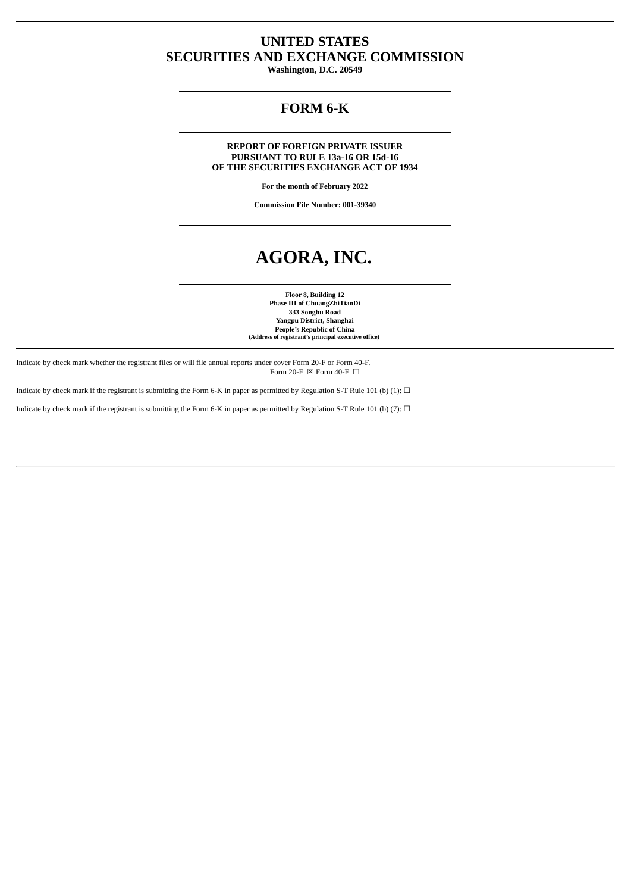# **UNITED STATES SECURITIES AND EXCHANGE COMMISSION**

**Washington, D.C. 20549**

# **FORM 6-K**

**REPORT OF FOREIGN PRIVATE ISSUER PURSUANT TO RULE 13a-16 OR 15d-16 OF THE SECURITIES EXCHANGE ACT OF 1934**

**For the month of February 2022**

**Commission File Number: 001-39340**

# **AGORA, INC.**

**Floor 8, Building 12 Phase III of ChuangZhiTianDi 333 Songhu Road Yangpu District, Shanghai People's Republic of China (Address of registrant's principal executive office)**

Indicate by check mark whether the registrant files or will file annual reports under cover Form 20-F or Form 40-F. Form 20-F  $\boxtimes$  Form 40-F  $\Box$ 

Indicate by check mark if the registrant is submitting the Form 6-K in paper as permitted by Regulation S-T Rule 101 (b) (1):  $\Box$ 

Indicate by check mark if the registrant is submitting the Form 6-K in paper as permitted by Regulation S-T Rule 101 (b) (7):  $\Box$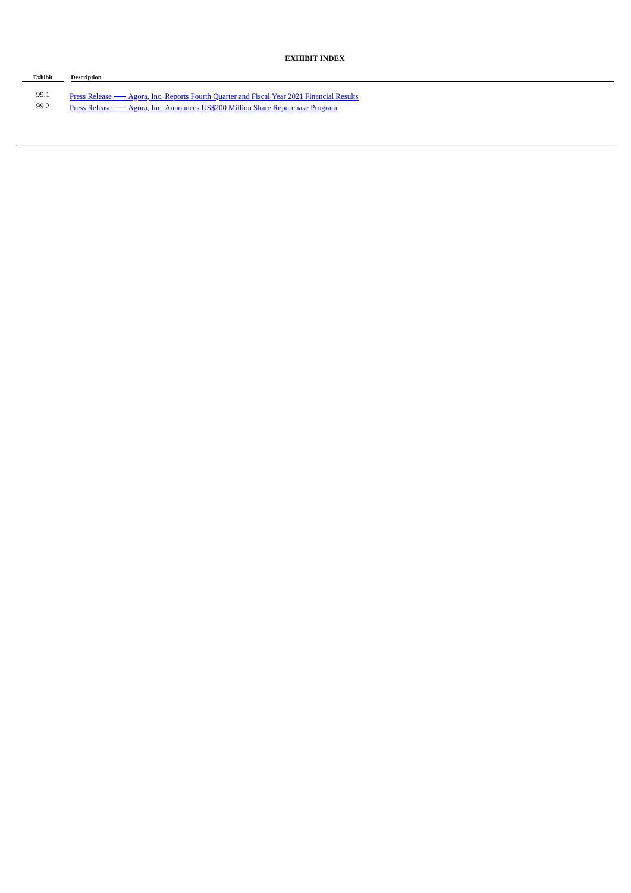# **EXHIBIT INDEX**

| Exhibit | <b>Description</b>                                                                        |
|---------|-------------------------------------------------------------------------------------------|
|         |                                                                                           |
| 99.1    | Press Release — Agora, Inc. Reports Fourth Quarter and Fiscal Year 2021 Financial Results |
| 99.2    | Press Release — Agora, Inc. Announces US\$200 Million Share Repurchase Program            |
|         |                                                                                           |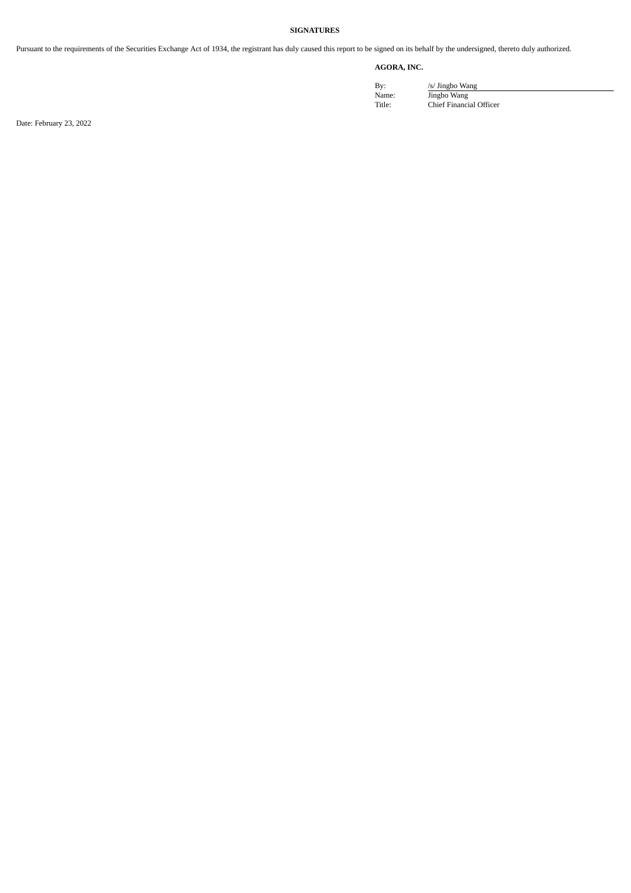# **SIGNATURES**

Pursuant to the requirements of the Securities Exchange Act of 1934, the registrant has duly caused this report to be signed on its behalf by the undersigned, thereto duly authorized.

# **AGORA, INC.**

By: /s/ Jingbo Wang Name: Jingbo Wang Title: Chief Financial Officer

Date: February 23, 2022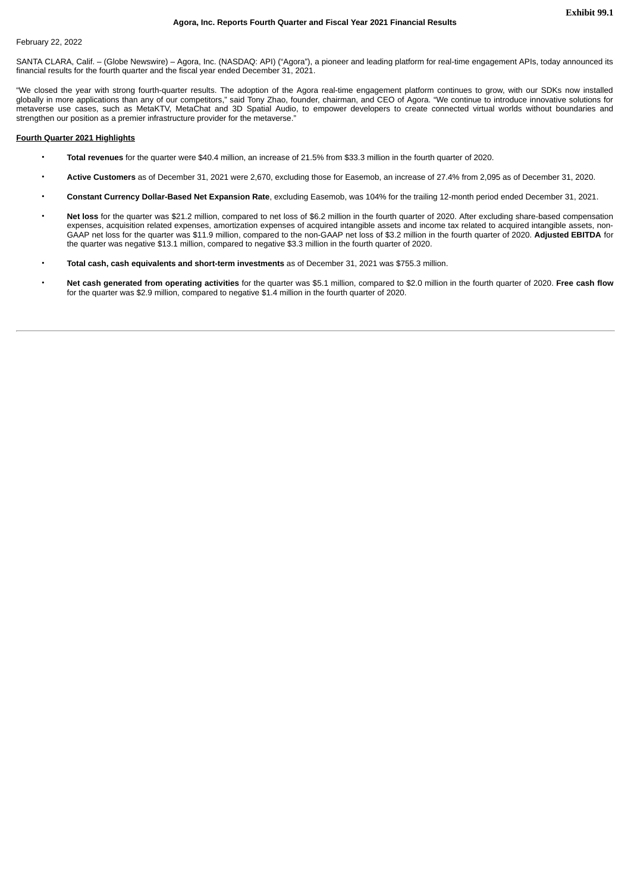# <span id="page-3-0"></span>February 22, 2022

SANTA CLARA, Calif. – (Globe Newswire) – Agora, Inc. (NASDAQ: API) ("Agora"), a pioneer and leading platform for real-time engagement APIs, today announced its financial results for the fourth quarter and the fiscal year ended December 31, 2021.

"We closed the year with strong fourth-quarter results. The adoption of the Agora real-time engagement platform continues to grow, with our SDKs now installed globally in more applications than any of our competitors," said Tony Zhao, founder, chairman, and CEO of Agora. "We continue to introduce innovative solutions for metaverse use cases, such as MetaKTV, MetaChat and 3D Spatial Audio, to empower developers to create connected virtual worlds without boundaries and strengthen our position as a premier infrastructure provider for the metaverse."

#### **Fourth Quarter 2021 Highlights**

- **Total revenues** for the quarter were \$40.4 million, an increase of 21.5% from \$33.3 million in the fourth quarter of 2020.
- **Active Customers** as of December 31, 2021 were 2,670, excluding those for Easemob, an increase of 27.4% from 2,095 as of December 31, 2020.
- **Constant Currency Dollar-Based Net Expansion Rate**, excluding Easemob, was 104% for the trailing 12-month period ended December 31, 2021.
- **Net loss** for the quarter was \$21.2 million, compared to net loss of \$6.2 million in the fourth quarter of 2020. After excluding share-based compensation expenses, acquisition related expenses, amortization expenses of acquired intangible assets and income tax related to acquired intangible assets, non-GAAP net loss for the quarter was \$11.9 million, compared to the non-GAAP net loss of \$3.2 million in the fourth quarter of 2020. **Adjusted EBITDA** for the quarter was negative \$13.1 million, compared to negative \$3.3 million in the fourth quarter of 2020.
- **Total cash, cash equivalents and short-term investments** as of December 31, 2021 was \$755.3 million.
- **Net cash generated from operating activities** for the quarter was \$5.1 million, compared to \$2.0 million in the fourth quarter of 2020. **Free cash flow** for the quarter was \$2.9 million, compared to negative \$1.4 million in the fourth quarter of 2020.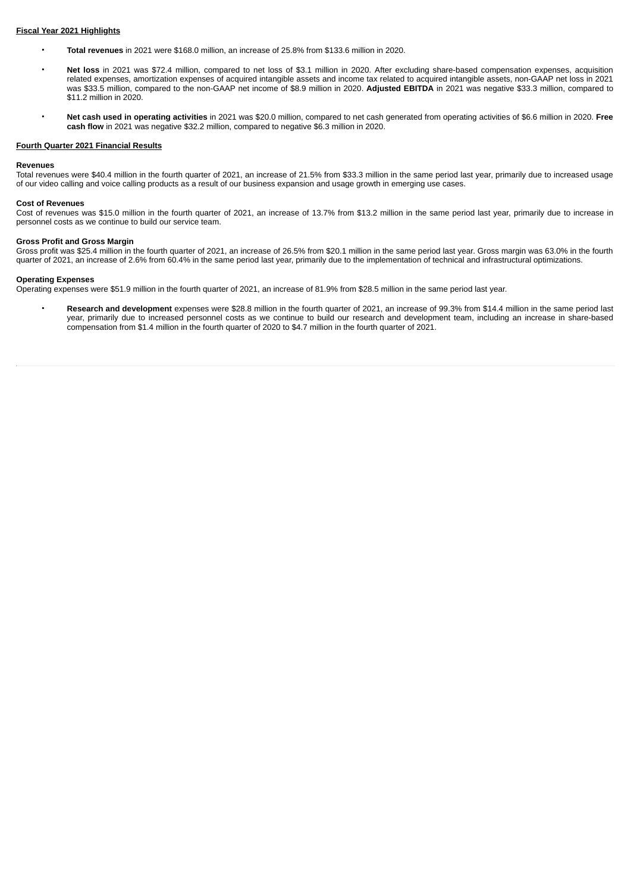# **Fiscal Year 2021 Highlights**

- **Total revenues** in 2021 were \$168.0 million, an increase of 25.8% from \$133.6 million in 2020.
- **Net loss** in 2021 was \$72.4 million, compared to net loss of \$3.1 million in 2020. After excluding share-based compensation expenses, acquisition related expenses, amortization expenses of acquired intangible assets and income tax related to acquired intangible assets, non-GAAP net loss in 2021 was \$33.5 million, compared to the non-GAAP net income of \$8.9 million in 2020. **Adjusted EBITDA** in 2021 was negative \$33.3 million, compared to \$11.2 million in 2020.
- **Net cash used in operating activities** in 2021 was \$20.0 million, compared to net cash generated from operating activities of \$6.6 million in 2020. **Free cash flow** in 2021 was negative \$32.2 million, compared to negative \$6.3 million in 2020.

### **Fourth Quarter 2021 Financial Results**

#### **Revenues**

Total revenues were \$40.4 million in the fourth quarter of 2021, an increase of 21.5% from \$33.3 million in the same period last year, primarily due to increased usage of our video calling and voice calling products as a result of our business expansion and usage growth in emerging use cases.

# **Cost of Revenues**

Cost of revenues was \$15.0 million in the fourth quarter of 2021, an increase of 13.7% from \$13.2 million in the same period last year, primarily due to increase in personnel costs as we continue to build our service team.

#### **Gross Profit and Gross Margin**

Gross profit was \$25.4 million in the fourth quarter of 2021, an increase of 26.5% from \$20.1 million in the same period last year. Gross margin was 63.0% in the fourth quarter of 2021, an increase of 2.6% from 60.4% in the same period last year, primarily due to the implementation of technical and infrastructural optimizations.

#### **Operating Expenses**

Operating expenses were \$51.9 million in the fourth quarter of 2021, an increase of 81.9% from \$28.5 million in the same period last year.

• **Research and development** expenses were \$28.8 million in the fourth quarter of 2021, an increase of 99.3% from \$14.4 million in the same period last year, primarily due to increased personnel costs as we continue to build our research and development team, including an increase in share-based compensation from \$1.4 million in the fourth quarter of 2020 to \$4.7 million in the fourth quarter of 2021.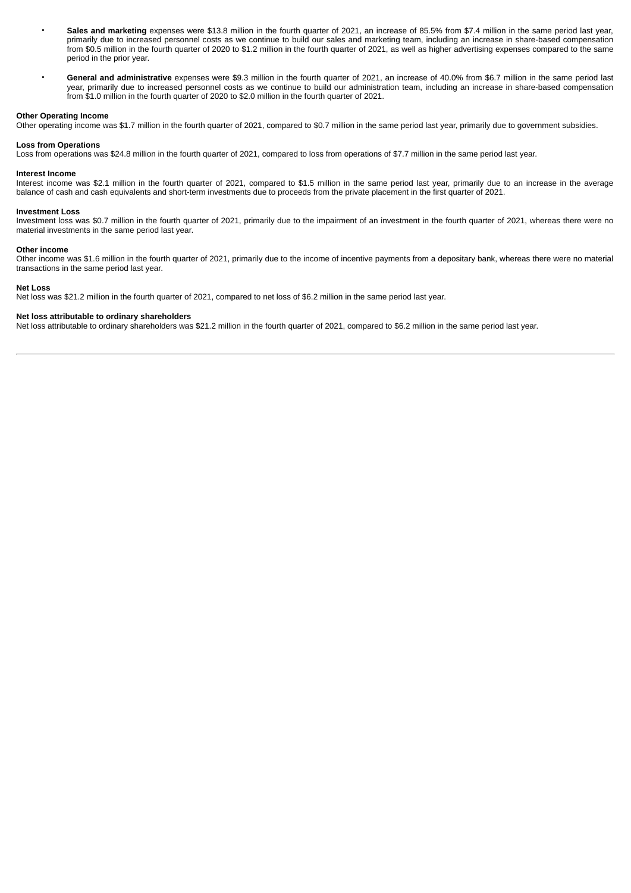- **Sales and marketing** expenses were \$13.8 million in the fourth quarter of 2021, an increase of 85.5% from \$7.4 million in the same period last year, primarily due to increased personnel costs as we continue to build our sales and marketing team, including an increase in share-based compensation from \$0.5 million in the fourth quarter of 2020 to \$1.2 million in the fourth quarter of 2021, as well as higher advertising expenses compared to the same period in the prior year.
- **General and administrative** expenses were \$9.3 million in the fourth quarter of 2021, an increase of 40.0% from \$6.7 million in the same period last year, primarily due to increased personnel costs as we continue to build our administration team, including an increase in share-based compensation from \$1.0 million in the fourth quarter of 2020 to \$2.0 million in the fourth quarter of 2021.

#### **Other Operating Income**

Other operating income was \$1.7 million in the fourth quarter of 2021, compared to \$0.7 million in the same period last year, primarily due to government subsidies.

#### **Loss from Operations**

Loss from operations was \$24.8 million in the fourth quarter of 2021, compared to loss from operations of \$7.7 million in the same period last year.

#### **Interest Income**

Interest income was \$2.1 million in the fourth quarter of 2021, compared to \$1.5 million in the same period last year, primarily due to an increase in the average balance of cash and cash equivalents and short-term investments due to proceeds from the private placement in the first quarter of 2021.

#### **Investment Loss**

Investment loss was \$0.7 million in the fourth quarter of 2021, primarily due to the impairment of an investment in the fourth quarter of 2021, whereas there were no material investments in the same period last year.

# **Other income**

Other income was \$1.6 million in the fourth quarter of 2021, primarily due to the income of incentive payments from a depositary bank, whereas there were no material transactions in the same period last year.

# **Net Loss**

Net loss was \$21.2 million in the fourth quarter of 2021, compared to net loss of \$6.2 million in the same period last year.

# **Net loss attributable to ordinary shareholders**

Net loss attributable to ordinary shareholders was \$21.2 million in the fourth quarter of 2021, compared to \$6.2 million in the same period last year.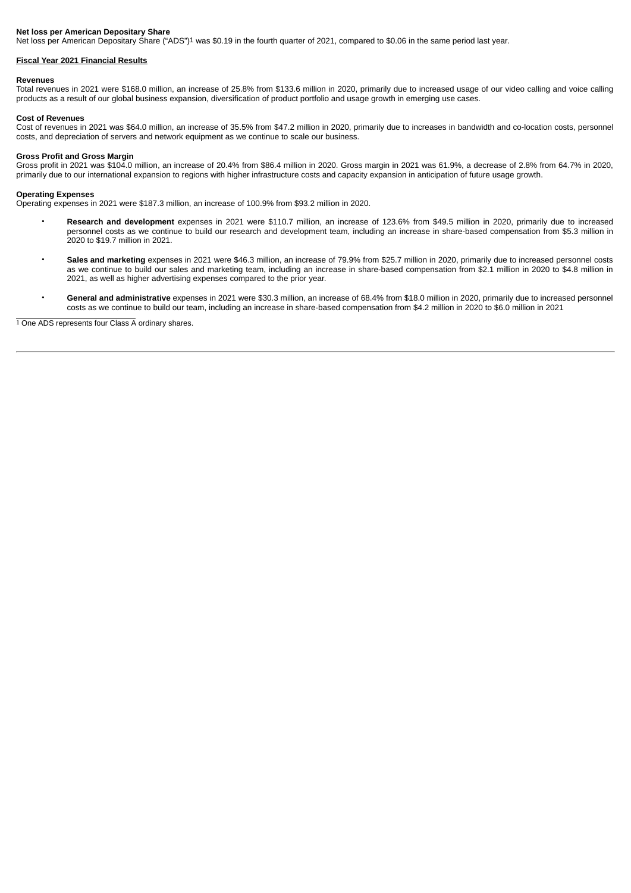# **Net loss per American Depositary Share**

Net loss per American Depositary Share ("ADS")1 was \$0.19 in the fourth quarter of 2021, compared to \$0.06 in the same period last year.

#### **Fiscal Year 2021 Financial Results**

#### **Revenues**

Total revenues in 2021 were \$168.0 million, an increase of 25.8% from \$133.6 million in 2020, primarily due to increased usage of our video calling and voice calling products as a result of our global business expansion, diversification of product portfolio and usage growth in emerging use cases.

#### **Cost of Revenues**

Cost of revenues in 2021 was \$64.0 million, an increase of 35.5% from \$47.2 million in 2020, primarily due to increases in bandwidth and co-location costs, personnel costs, and depreciation of servers and network equipment as we continue to scale our business.

#### **Gross Profit and Gross Margin**

Gross profit in 2021 was \$104.0 million, an increase of 20.4% from \$86.4 million in 2020. Gross margin in 2021 was 61.9%, a decrease of 2.8% from 64.7% in 2020, primarily due to our international expansion to regions with higher infrastructure costs and capacity expansion in anticipation of future usage growth.

#### **Operating Expenses**

Operating expenses in 2021 were \$187.3 million, an increase of 100.9% from \$93.2 million in 2020.

- **Research and development** expenses in 2021 were \$110.7 million, an increase of 123.6% from \$49.5 million in 2020, primarily due to increased personnel costs as we continue to build our research and development team, including an increase in share-based compensation from \$5.3 million in 2020 to \$19.7 million in 2021.
- **Sales and marketing** expenses in 2021 were \$46.3 million, an increase of 79.9% from \$25.7 million in 2020, primarily due to increased personnel costs as we continue to build our sales and marketing team, including an increase in share-based compensation from \$2.1 million in 2020 to \$4.8 million in 2021, as well as higher advertising expenses compared to the prior year.
- **General and administrative** expenses in 2021 were \$30.3 million, an increase of 68.4% from \$18.0 million in 2020, primarily due to increased personnel costs as we continue to build our team, including an increase in share-based compensation from \$4.2 million in 2020 to \$6.0 million in 2021

1 One ADS represents four Class A ordinary shares.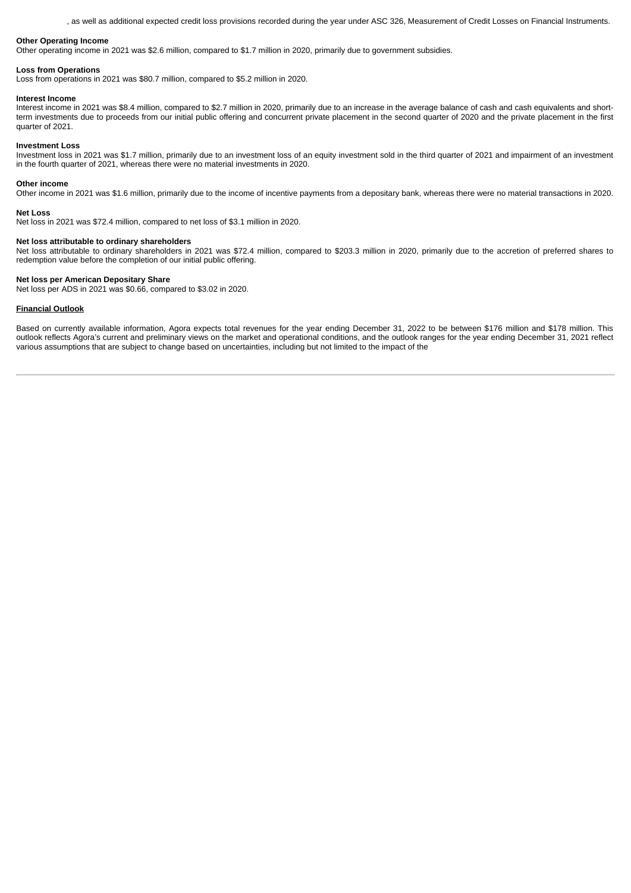, as well as additional expected credit loss provisions recorded during the year under ASC 326, Measurement of Credit Losses on Financial Instruments.

# **Other Operating Income**

Other operating income in 2021 was \$2.6 million, compared to \$1.7 million in 2020, primarily due to government subsidies.

#### **Loss from Operations**

Loss from operations in 2021 was \$80.7 million, compared to \$5.2 million in 2020.

#### **Interest Income**

Interest income in 2021 was \$8.4 million, compared to \$2.7 million in 2020, primarily due to an increase in the average balance of cash and cash equivalents and shortterm investments due to proceeds from our initial public offering and concurrent private placement in the second quarter of 2020 and the private placement in the first quarter of 2021.

# **Investment Loss**

Investment loss in 2021 was \$1.7 million, primarily due to an investment loss of an equity investment sold in the third quarter of 2021 and impairment of an investment in the fourth quarter of 2021, whereas there were no material investments in 2020.

#### **Other income**

Other income in 2021 was \$1.6 million, primarily due to the income of incentive payments from a depositary bank, whereas there were no material transactions in 2020.

#### **Net Loss**

Net loss in 2021 was \$72.4 million, compared to net loss of \$3.1 million in 2020.

#### **Net loss attributable to ordinary shareholders**

Net loss attributable to ordinary shareholders in 2021 was \$72.4 million, compared to \$203.3 million in 2020, primarily due to the accretion of preferred shares to redemption value before the completion of our initial public offering.

#### **Net loss per American Depositary Share**

Net loss per ADS in 2021 was \$0.66, compared to \$3.02 in 2020.

#### **Financial Outlook**

Based on currently available information, Agora expects total revenues for the year ending December 31, 2022 to be between \$176 million and \$178 million. This outlook reflects Agora's current and preliminary views on the market and operational conditions, and the outlook ranges for the year ending December 31, 2021 reflect various assumptions that are subject to change based on uncertainties, including but not limited to the impact of the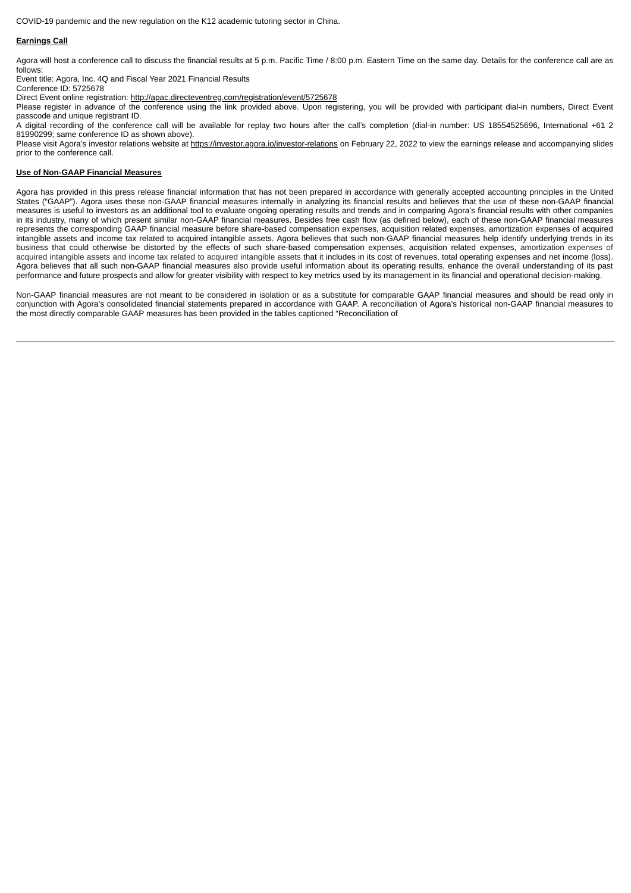COVID-19 pandemic and the new regulation on the K12 academic tutoring sector in China.

# **Earnings Call**

Agora will host a conference call to discuss the financial results at 5 p.m. Pacific Time / 8:00 p.m. Eastern Time on the same day. Details for the conference call are as follows:

Event title: Agora, Inc. 4Q and Fiscal Year 2021 Financial Results

Conference ID: 5725678

Direct Event online registration: http://apac.directeventreg.com/registration/event/5725678

Please register in advance of the conference using the link provided above. Upon registering, you will be provided with participant dial-in numbers, Direct Event passcode and unique registrant ID.

A digital recording of the conference call will be available for replay two hours after the call's completion (dial-in number: US 18554525696, International +61 2 81990299; same conference ID as shown above).

Please visit Agora's investor relations website at https://investor.agora.io/investor-relations on February 22, 2022 to view the earnings release and accompanying slides prior to the conference call.

# **Use of Non-GAAP Financial Measures**

Agora has provided in this press release financial information that has not been prepared in accordance with generally accepted accounting principles in the United States ("GAAP"). Agora uses these non-GAAP financial measures internally in analyzing its financial results and believes that the use of these non-GAAP financial measures is useful to investors as an additional tool to evaluate ongoing operating results and trends and in comparing Agora's financial results with other companies in its industry, many of which present similar non-GAAP financial measures. Besides free cash flow (as defined below), each of these non-GAAP financial measures represents the corresponding GAAP financial measure before share-based compensation expenses, acquisition related expenses, amortization expenses of acquired intangible assets and income tax related to acquired intangible assets. Agora believes that such non-GAAP financial measures help identify underlying trends in its business that could otherwise be distorted by the effects of such share-based compensation expenses, acquisition related expenses, amortization expenses of acquired intangible assets and income tax related to acquired intangible assets that it includes in its cost of revenues, total operating expenses and net income (loss). Agora believes that all such non-GAAP financial measures also provide useful information about its operating results, enhance the overall understanding of its past performance and future prospects and allow for greater visibility with respect to key metrics used by its management in its financial and operational decision-making.

Non-GAAP financial measures are not meant to be considered in isolation or as a substitute for comparable GAAP financial measures and should be read only in conjunction with Agora's consolidated financial statements prepared in accordance with GAAP. A reconciliation of Agora's historical non-GAAP financial measures to the most directly comparable GAAP measures has been provided in the tables captioned "Reconciliation of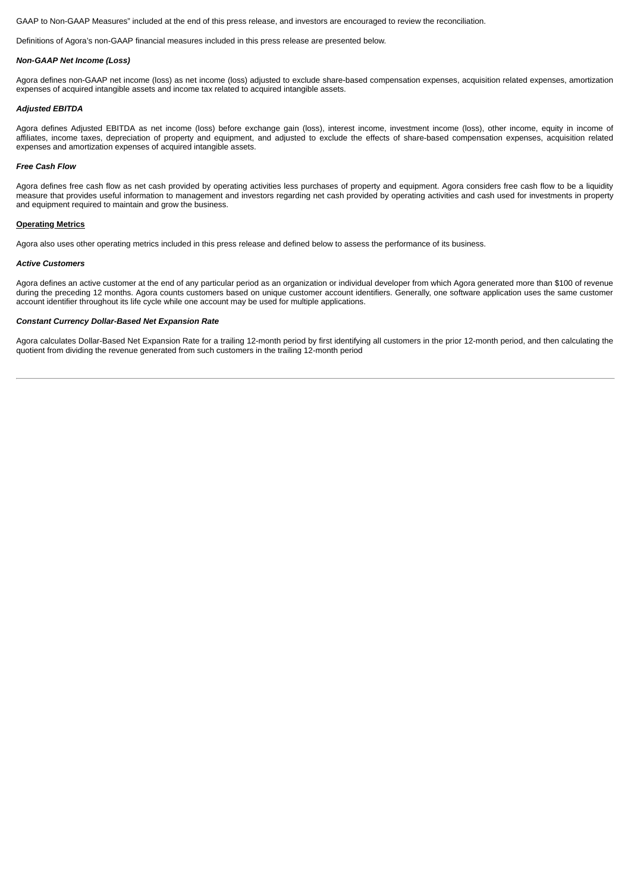GAAP to Non-GAAP Measures" included at the end of this press release, and investors are encouraged to review the reconciliation.

Definitions of Agora's non-GAAP financial measures included in this press release are presented below.

#### *Non-GAAP Net Income (Loss)*

Agora defines non-GAAP net income (loss) as net income (loss) adjusted to exclude share-based compensation expenses, acquisition related expenses, amortization expenses of acquired intangible assets and income tax related to acquired intangible assets.

#### *Adjusted EBITDA*

Agora defines Adjusted EBITDA as net income (loss) before exchange gain (loss), interest income, investment income (loss), other income, equity in income of affiliates, income taxes, depreciation of property and equipment, and adjusted to exclude the effects of share-based compensation expenses, acquisition related expenses and amortization expenses of acquired intangible assets.

#### *Free Cash Flow*

Agora defines free cash flow as net cash provided by operating activities less purchases of property and equipment. Agora considers free cash flow to be a liquidity measure that provides useful information to management and investors regarding net cash provided by operating activities and cash used for investments in property and equipment required to maintain and grow the business.

# **Operating Metrics**

Agora also uses other operating metrics included in this press release and defined below to assess the performance of its business.

#### *Active Customers*

Agora defines an active customer at the end of any particular period as an organization or individual developer from which Agora generated more than \$100 of revenue during the preceding 12 months. Agora counts customers based on unique customer account identifiers. Generally, one software application uses the same customer account identifier throughout its life cycle while one account may be used for multiple applications.

#### *Constant Currency Dollar-Based Net Expansion Rate*

Agora calculates Dollar-Based Net Expansion Rate for a trailing 12-month period by first identifying all customers in the prior 12-month period, and then calculating the quotient from dividing the revenue generated from such customers in the trailing 12-month period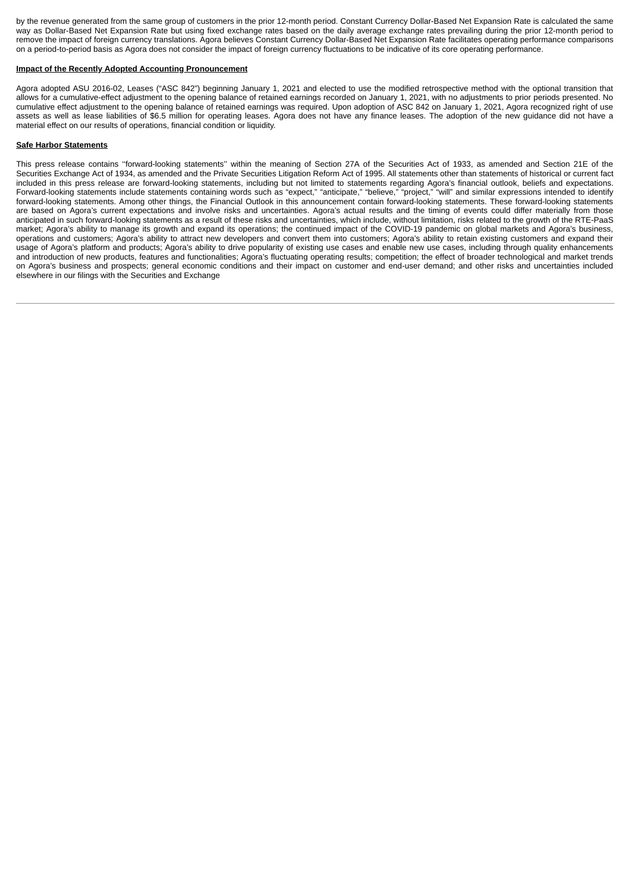by the revenue generated from the same group of customers in the prior 12-month period. Constant Currency Dollar-Based Net Expansion Rate is calculated the same way as Dollar-Based Net Expansion Rate but using fixed exchange rates based on the daily average exchange rates prevailing during the prior 12-month period to remove the impact of foreign currency translations. Agora believes Constant Currency Dollar-Based Net Expansion Rate facilitates operating performance comparisons on a period-to-period basis as Agora does not consider the impact of foreign currency fluctuations to be indicative of its core operating performance.

# **Impact of the Recently Adopted Accounting Pronouncement**

Agora adopted ASU 2016-02, Leases ("ASC 842") beginning January 1, 2021 and elected to use the modified retrospective method with the optional transition that allows for a cumulative-effect adjustment to the opening balance of retained earnings recorded on January 1, 2021, with no adjustments to prior periods presented. No cumulative effect adjustment to the opening balance of retained earnings was required. Upon adoption of ASC 842 on January 1, 2021, Agora recognized right of use assets as well as lease liabilities of \$6.5 million for operating leases. Agora does not have any finance leases. The adoption of the new guidance did not have a material effect on our results of operations, financial condition or liquidity.

# **Safe Harbor Statements**

This press release contains ''forward-looking statements'' within the meaning of Section 27A of the Securities Act of 1933, as amended and Section 21E of the Securities Exchange Act of 1934, as amended and the Private Securities Litigation Reform Act of 1995. All statements other than statements of historical or current fact included in this press release are forward-looking statements, including but not limited to statements regarding Agora's financial outlook, beliefs and expectations. Forward-looking statements include statements containing words such as "expect," "anticipate," "believe," "project," "will" and similar expressions intended to identify forward-looking statements. Among other things, the Financial Outlook in this announcement contain forward-looking statements. These forward-looking statements are based on Agora's current expectations and involve risks and uncertainties. Agora's actual results and the timing of events could differ materially from those anticipated in such forward-looking statements as a result of these risks and uncertainties, which include, without limitation, risks related to the growth of the RTE-PaaS market; Agora's ability to manage its growth and expand its operations; the continued impact of the COVID-19 pandemic on global markets and Agora's business, operations and customers; Agora's ability to attract new developers and convert them into customers; Agora's ability to retain existing customers and expand their usage of Agora's platform and products; Agora's ability to drive popularity of existing use cases and enable new use cases, including through quality enhancements and introduction of new products, features and functionalities; Agora's fluctuating operating results; competition; the effect of broader technological and market trends on Agora's business and prospects; general economic conditions and their impact on customer and end-user demand; and other risks and uncertainties included elsewhere in our filings with the Securities and Exchange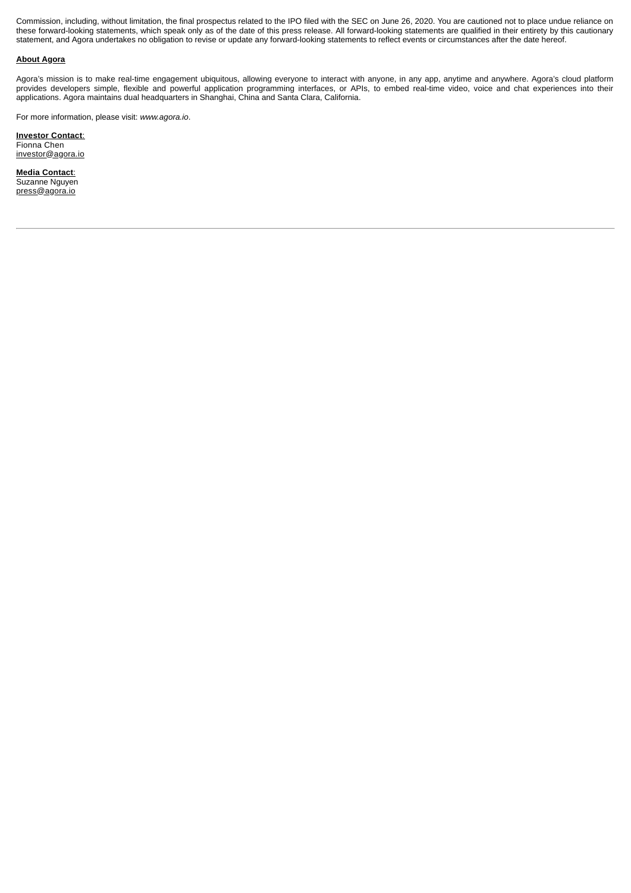Commission, including, without limitation, the final prospectus related to the IPO filed with the SEC on June 26, 2020. You are cautioned not to place undue reliance on these forward-looking statements, which speak only as of the date of this press release. All forward-looking statements are qualified in their entirety by this cautionary statement, and Agora undertakes no obligation to revise or update any forward-looking statements to reflect events or circumstances after the date hereof.

# **About Agora**

Agora's mission is to make real-time engagement ubiquitous, allowing everyone to interact with anyone, in any app, anytime and anywhere. Agora's cloud platform provides developers simple, flexible and powerful application programming interfaces, or APIs, to embed real-time video, voice and chat experiences into their applications. Agora maintains dual headquarters in Shanghai, China and Santa Clara, California.

For more information, please visit: *www.agora.io*.

**Investor Contact**: Fionna Chen investor@agora.io

**Media Contact**: Suzanne Nguyen press@agora.io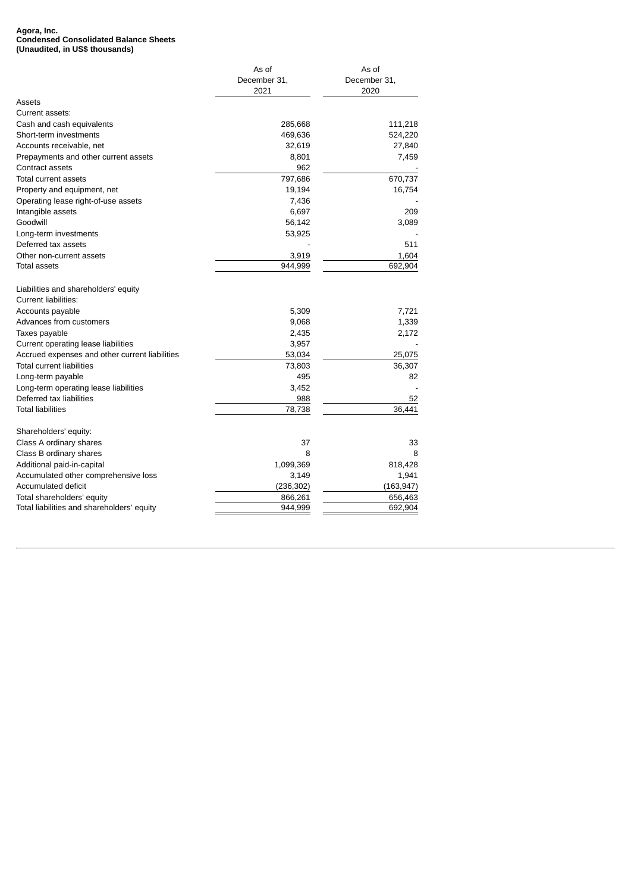#### **Agora, Inc. Condensed Consolidated Balance Sheets (Unaudited, in US\$ thousands)**

|                                                | As of        | As of        |
|------------------------------------------------|--------------|--------------|
|                                                | December 31, | December 31, |
|                                                | 2021         | 2020         |
| Assets                                         |              |              |
| Current assets:                                |              |              |
| Cash and cash equivalents                      | 285,668      | 111,218      |
| Short-term investments                         | 469,636      | 524,220      |
| Accounts receivable, net                       | 32,619       | 27,840       |
| Prepayments and other current assets           | 8,801        | 7,459        |
| Contract assets                                | 962          |              |
| Total current assets                           | 797,686      | 670,737      |
| Property and equipment, net                    | 19,194       | 16,754       |
| Operating lease right-of-use assets            | 7,436        |              |
| Intangible assets                              | 6,697        | 209          |
| Goodwill                                       | 56,142       | 3,089        |
| Long-term investments                          | 53,925       |              |
| Deferred tax assets                            |              | 511          |
| Other non-current assets                       | 3,919        | 1,604        |
| Total assets                                   | 944,999      | 692,904      |
| Liabilities and shareholders' equity           |              |              |
| <b>Current liabilities:</b>                    |              |              |
| Accounts payable                               | 5,309        | 7,721        |
| Advances from customers                        | 9,068        | 1,339        |
| Taxes payable                                  | 2,435        | 2,172        |
| Current operating lease liabilities            | 3,957        |              |
| Accrued expenses and other current liabilities | 53,034       | 25,075       |
| <b>Total current liabilities</b>               | 73,803       | 36,307       |
| Long-term payable                              | 495          | 82           |
| Long-term operating lease liabilities          | 3,452        |              |
| Deferred tax liabilities                       | 988          | 52           |
| <b>Total liabilities</b>                       | 78,738       | 36.441       |
| Shareholders' equity:                          |              |              |
| Class A ordinary shares                        | 37           | 33           |
| Class B ordinary shares                        | 8            | 8            |
| Additional paid-in-capital                     | 1,099,369    | 818,428      |
| Accumulated other comprehensive loss           | 3,149        | 1,941        |
| <b>Accumulated deficit</b>                     | (236, 302)   | (163, 947)   |
| Total shareholders' equity                     | 866,261      | 656,463      |
| Total liabilities and shareholders' equity     | 944,999      | 692,904      |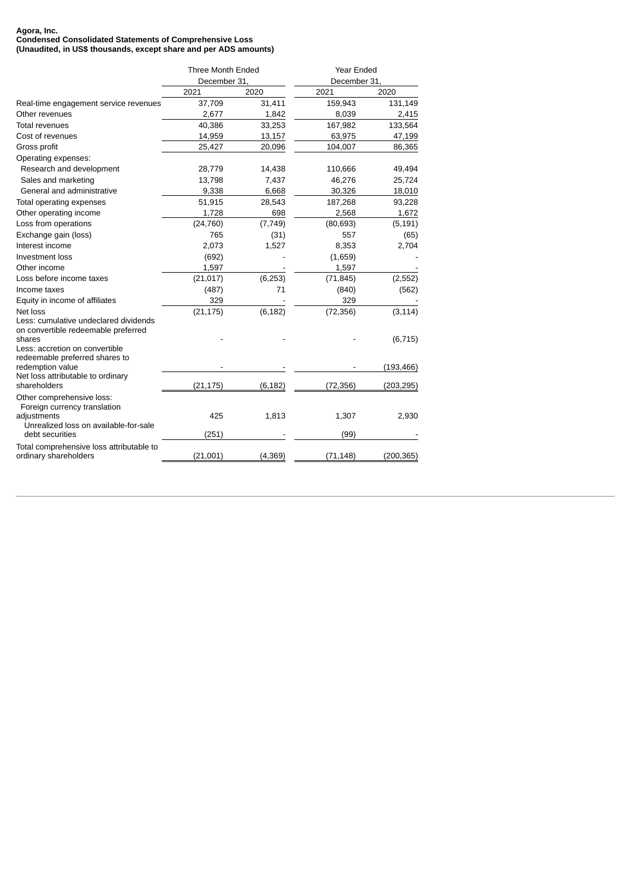#### **Agora, Inc. Condensed Consolidated Statements of Comprehensive Loss (Unaudited, in US\$ thousands, except share and per ADS amounts)**

|                                                                                                                   | Three Month Ended<br>December 31, |          | Year Ended           |            |
|-------------------------------------------------------------------------------------------------------------------|-----------------------------------|----------|----------------------|------------|
|                                                                                                                   | 2021                              | 2020     | December 31,<br>2021 | 2020       |
| Real-time engagement service revenues                                                                             | 37,709                            | 31,411   | 159,943              | 131,149    |
| Other revenues                                                                                                    | 2,677                             | 1,842    | 8,039                | 2,415      |
| <b>Total revenues</b>                                                                                             | 40,386                            | 33,253   | 167,982              | 133,564    |
| Cost of revenues                                                                                                  | 14,959                            | 13,157   | 63,975               | 47,199     |
| Gross profit                                                                                                      | 25,427                            | 20,096   | 104,007              | 86,365     |
| Operating expenses:                                                                                               |                                   |          |                      |            |
| Research and development                                                                                          | 28,779                            | 14,438   | 110,666              | 49,494     |
| Sales and marketing                                                                                               | 13,798                            | 7,437    | 46,276               | 25,724     |
| General and administrative                                                                                        | 9,338                             | 6,668    | 30,326               | 18,010     |
| Total operating expenses                                                                                          | 51,915                            | 28,543   | 187,268              | 93,228     |
| Other operating income                                                                                            | 1,728                             | 698      | 2,568                | 1,672      |
| Loss from operations                                                                                              | (24, 760)                         | (7, 749) | (80, 693)            | (5, 191)   |
| Exchange gain (loss)                                                                                              | 765                               | (31)     | 557                  | (65)       |
| Interest income                                                                                                   | 2,073                             | 1,527    | 8,353                | 2,704      |
| <b>Investment loss</b>                                                                                            | (692)                             |          | (1,659)              |            |
| Other income                                                                                                      | 1,597                             |          | 1,597                |            |
| Loss before income taxes                                                                                          | (21, 017)                         | (6, 253) | (71, 845)            | (2, 552)   |
| Income taxes                                                                                                      | (487)                             | 71       | (840)                | (562)      |
| Equity in income of affiliates                                                                                    | 329                               |          | 329                  |            |
| Net loss                                                                                                          | (21, 175)                         | (6, 182) | (72, 356)            | (3, 114)   |
| Less: cumulative undeclared dividends<br>on convertible redeemable preferred<br>shares                            |                                   |          |                      |            |
| Less: accretion on convertible<br>redeemable preferred shares to                                                  |                                   |          |                      | (6, 715)   |
| redemption value                                                                                                  |                                   |          |                      | (193, 466) |
| Net loss attributable to ordinary<br>shareholders                                                                 | (21, 175)                         | (6, 182) | (72, 356)            | (203, 295) |
| Other comprehensive loss:<br>Foreign currency translation<br>adjustments<br>Unrealized loss on available-for-sale | 425                               | 1,813    | 1,307                | 2,930      |
| debt securities                                                                                                   | (251)                             |          | (99)                 |            |
| Total comprehensive loss attributable to<br>ordinary shareholders                                                 | (21,001)                          | (4, 369) | (71,148)             | (200, 365) |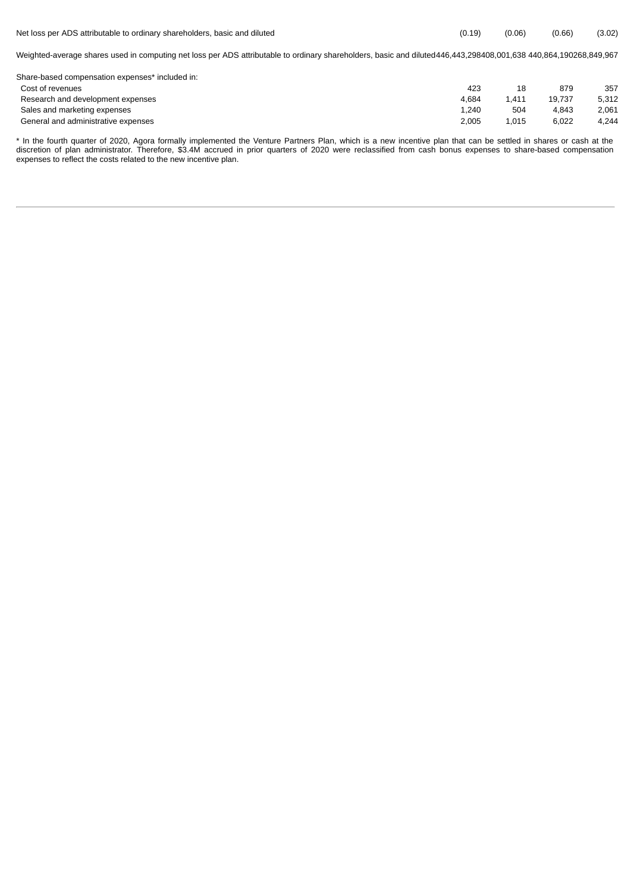| Net loss per ADS attributable to ordinary shareholders, basic and diluted                                                                                         | (0.19) | (0.06) | (0.66) | (3.02) |
|-------------------------------------------------------------------------------------------------------------------------------------------------------------------|--------|--------|--------|--------|
| Weighted-average shares used in computing net loss per ADS attributable to ordinary shareholders, basic and diluted 446,443,298408,001,638 440,864,190268,849,967 |        |        |        |        |
| Share-based compensation expenses* included in:                                                                                                                   |        |        |        |        |
| Cost of revenues                                                                                                                                                  | 423    | 18     | 879    | 357    |
| Research and development expenses                                                                                                                                 | 4.684  | 1.411  | 19.737 | 5.312  |

Sales and marketing expenses and the set of the set of the set of the set of the set of the set of the set of the set of the set of the set of the set of the set of the set of the set of the set of the set of the set of th General and administrative expenses and the series of the series of the series of the series of the series of the series of the series of the series of the series of the series of the series of the series of the series of

\* In the fourth quarter of 2020, Agora formally implemented the Venture Partners Plan, which is a new incentive plan that can be settled in shares or cash at the discretion of plan administrator. Therefore, \$3.4M accrued in prior quarters of 2020 were reclassified from cash bonus expenses to share-based compensation expenses to reflect the costs related to the new incentive plan.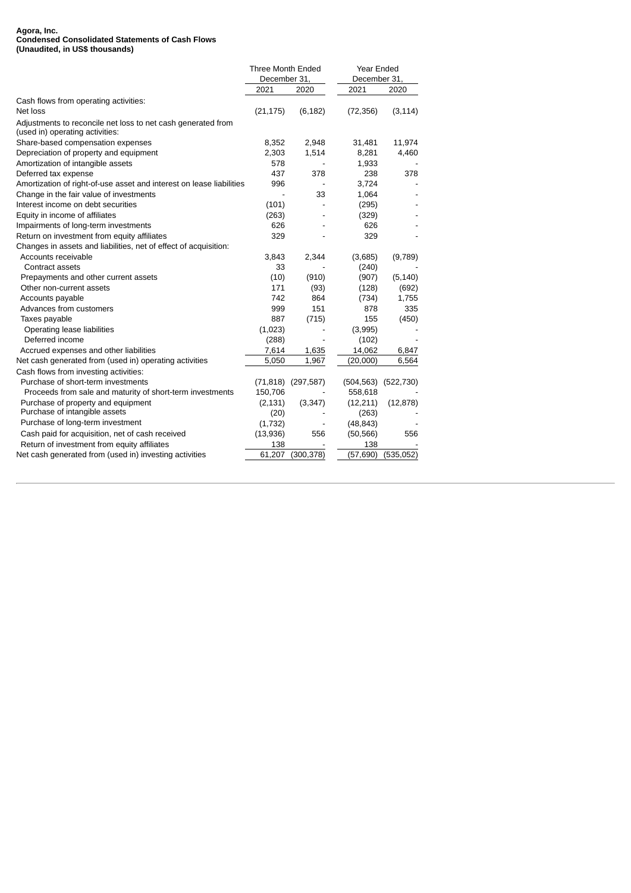#### **Agora, Inc. Condensed Consolidated Statements of Cash Flows (Unaudited, in US\$ thousands)**

|                                                                                                 | Three Month Ended |                        | Year Ended   |            |  |
|-------------------------------------------------------------------------------------------------|-------------------|------------------------|--------------|------------|--|
|                                                                                                 | December 31,      |                        | December 31, |            |  |
|                                                                                                 | 2021              | 2020                   | 2021         | 2020       |  |
| Cash flows from operating activities:                                                           |                   |                        |              |            |  |
| Net loss                                                                                        | (21, 175)         | (6, 182)               | (72, 356)    | (3, 114)   |  |
| Adjustments to reconcile net loss to net cash generated from<br>(used in) operating activities: |                   |                        |              |            |  |
| Share-based compensation expenses                                                               | 8,352             | 2,948                  | 31,481       | 11,974     |  |
| Depreciation of property and equipment                                                          | 2,303             | 1,514                  | 8,281        | 4,460      |  |
| Amortization of intangible assets                                                               | 578               |                        | 1,933        |            |  |
| Deferred tax expense                                                                            | 437               | 378                    | 238          | 378        |  |
| Amortization of right-of-use asset and interest on lease liabilities                            | 996               |                        | 3,724        |            |  |
| Change in the fair value of investments                                                         |                   | 33                     | 1,064        |            |  |
| Interest income on debt securities                                                              | (101)             |                        | (295)        |            |  |
| Equity in income of affiliates                                                                  | (263)             |                        | (329)        |            |  |
| Impairments of long-term investments                                                            | 626               |                        | 626          |            |  |
| Return on investment from equity affiliates                                                     | 329               |                        | 329          |            |  |
| Changes in assets and liabilities, net of effect of acquisition:                                |                   |                        |              |            |  |
| Accounts receivable                                                                             | 3,843             | 2,344                  | (3,685)      | (9,789)    |  |
| Contract assets                                                                                 | 33                |                        | (240)        |            |  |
| Prepayments and other current assets                                                            | (10)              | (910)                  | (907)        | (5, 140)   |  |
| Other non-current assets                                                                        | 171               | (93)                   | (128)        | (692)      |  |
| Accounts payable                                                                                | 742               | 864                    | (734)        | 1,755      |  |
| Advances from customers                                                                         | 999               | 151                    | 878          | 335        |  |
| Taxes payable                                                                                   | 887               | (715)                  | 155          | (450)      |  |
| Operating lease liabilities                                                                     | (1,023)           |                        | (3,995)      |            |  |
| Deferred income                                                                                 | (288)             |                        | (102)        |            |  |
| Accrued expenses and other liabilities                                                          | 7,614             | 1,635                  | 14,062       | 6,847      |  |
| Net cash generated from (used in) operating activities                                          | 5,050             | 1,967                  | (20,000)     | 6,564      |  |
| Cash flows from investing activities:                                                           |                   |                        |              |            |  |
| Purchase of short-term investments                                                              |                   | $(71,818)$ $(297,587)$ | (504, 563)   | (522, 730) |  |
| Proceeds from sale and maturity of short-term investments                                       | 150,706           |                        | 558,618      |            |  |
| Purchase of property and equipment                                                              | (2, 131)          | (3,347)                | (12,211)     | (12, 878)  |  |
| Purchase of intangible assets                                                                   | (20)              |                        | (263)        |            |  |
| Purchase of long-term investment                                                                | (1,732)           |                        | (48, 843)    |            |  |
| Cash paid for acquisition, net of cash received                                                 | (13,936)          | 556                    | (50, 566)    | 556        |  |
| Return of investment from equity affiliates                                                     | 138               |                        | 138          |            |  |
| Net cash generated from (used in) investing activities                                          | 61,207            | (300, 378)             | (57, 690)    | (535,052)  |  |
|                                                                                                 |                   |                        |              |            |  |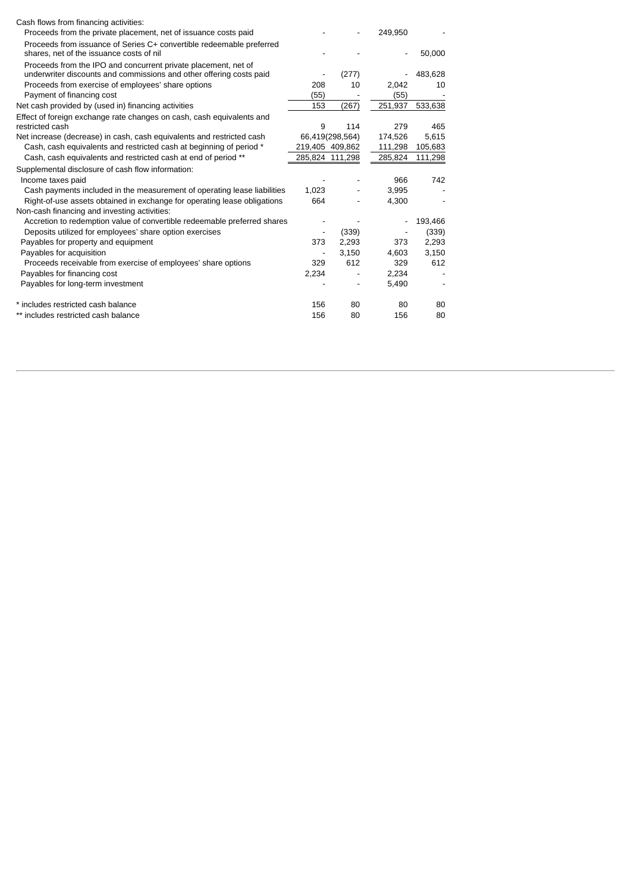| Cash flows from financing activities:                                                                                                 |                 |                 |         |         |
|---------------------------------------------------------------------------------------------------------------------------------------|-----------------|-----------------|---------|---------|
| Proceeds from the private placement, net of issuance costs paid                                                                       |                 |                 | 249,950 |         |
| Proceeds from issuance of Series C+ convertible redeemable preferred                                                                  |                 |                 |         |         |
| shares, net of the issuance costs of nil                                                                                              |                 |                 |         | 50,000  |
| Proceeds from the IPO and concurrent private placement, net of<br>underwriter discounts and commissions and other offering costs paid |                 | (277)           |         | 483,628 |
| Proceeds from exercise of employees' share options                                                                                    | 208             | 10              | 2,042   | 10      |
| Payment of financing cost                                                                                                             | (55)            |                 | (55)    |         |
| Net cash provided by (used in) financing activities                                                                                   | 153             | (267)           | 251,937 | 533,638 |
| Effect of foreign exchange rate changes on cash, cash equivalents and                                                                 |                 |                 |         |         |
| restricted cash                                                                                                                       | 9               | 114             | 279     | 465     |
| Net increase (decrease) in cash, cash equivalents and restricted cash                                                                 |                 | 66,419(298,564) | 174,526 | 5,615   |
| Cash, cash equivalents and restricted cash at beginning of period *                                                                   | 219,405 409,862 |                 | 111,298 | 105,683 |
| Cash, cash equivalents and restricted cash at end of period **                                                                        | 285,824 111,298 |                 | 285,824 | 111,298 |
| Supplemental disclosure of cash flow information:                                                                                     |                 |                 |         |         |
| Income taxes paid                                                                                                                     |                 |                 | 966     | 742     |
| Cash payments included in the measurement of operating lease liabilities                                                              | 1,023           |                 | 3,995   |         |
| Right-of-use assets obtained in exchange for operating lease obligations                                                              | 664             |                 | 4,300   |         |
| Non-cash financing and investing activities:                                                                                          |                 |                 |         |         |
| Accretion to redemption value of convertible redeemable preferred shares                                                              |                 |                 |         | 193,466 |
| Deposits utilized for employees' share option exercises                                                                               |                 | (339)           |         | (339)   |
| Payables for property and equipment                                                                                                   | 373             | 2,293           | 373     | 2,293   |
| Payables for acquisition                                                                                                              |                 | 3,150           | 4,603   | 3,150   |
| Proceeds receivable from exercise of employees' share options                                                                         | 329             | 612             | 329     | 612     |
| Payables for financing cost                                                                                                           | 2,234           |                 | 2,234   |         |
| Payables for long-term investment                                                                                                     |                 |                 | 5,490   |         |
| * includes restricted cash balance                                                                                                    | 156             | 80              | 80      | 80      |
| ** includes restricted cash balance                                                                                                   | 156             | 80              | 156     | 80      |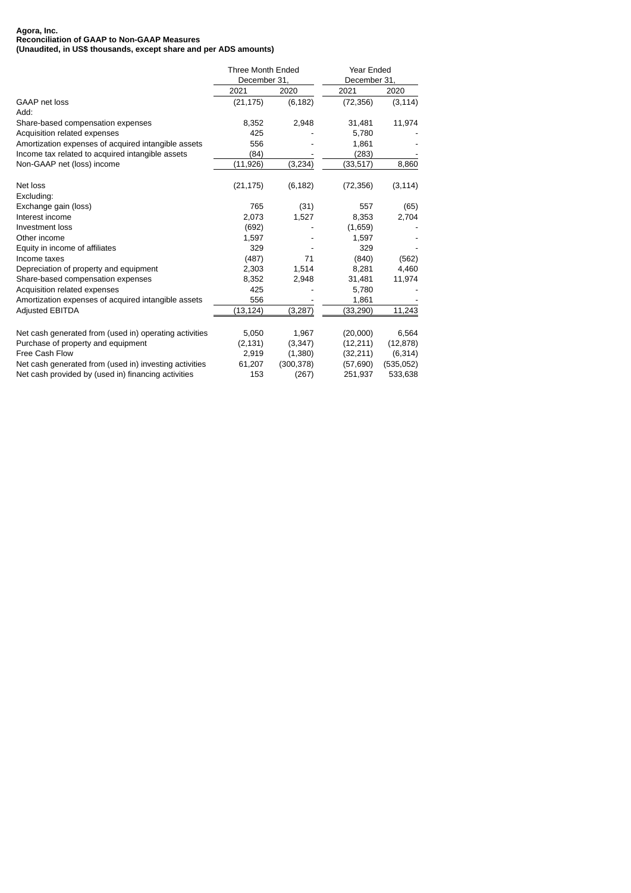#### **Agora, Inc. Reconciliation of GAAP to Non-GAAP Measures (Unaudited, in US\$ thousands, except share and per ADS amounts)**

|                                                        | Three Month Ended<br>December 31, |            | Year Ended<br>December 31, |           |  |
|--------------------------------------------------------|-----------------------------------|------------|----------------------------|-----------|--|
|                                                        |                                   |            |                            |           |  |
|                                                        | 2021                              | 2020       | 2021                       | 2020      |  |
| <b>GAAP net loss</b>                                   | (21, 175)                         | (6, 182)   | (72, 356)                  | (3, 114)  |  |
| Add:                                                   |                                   |            |                            |           |  |
| Share-based compensation expenses                      | 8,352                             | 2,948      | 31,481                     | 11,974    |  |
| Acquisition related expenses                           | 425                               |            | 5,780                      |           |  |
| Amortization expenses of acquired intangible assets    | 556                               |            | 1,861                      |           |  |
| Income tax related to acquired intangible assets       | (84)                              |            | (283)                      |           |  |
| Non-GAAP net (loss) income                             | (11,926)                          | (3,234)    | (33,517)                   | 8,860     |  |
| Net loss                                               | (21, 175)                         | (6, 182)   | (72, 356)                  | (3, 114)  |  |
| Excluding:                                             |                                   |            |                            |           |  |
| Exchange gain (loss)                                   | 765                               | (31)       | 557                        | (65)      |  |
| Interest income                                        | 2,073                             | 1,527      | 8,353                      | 2,704     |  |
| Investment loss                                        | (692)                             |            | (1,659)                    |           |  |
| Other income                                           | 1,597                             |            | 1,597                      |           |  |
| Equity in income of affiliates                         | 329                               |            | 329                        |           |  |
| Income taxes                                           | (487)                             | 71         | (840)                      | (562)     |  |
| Depreciation of property and equipment                 | 2,303                             | 1,514      | 8,281                      | 4,460     |  |
| Share-based compensation expenses                      | 8,352                             | 2,948      | 31,481                     | 11,974    |  |
| Acquisition related expenses                           | 425                               |            | 5,780                      |           |  |
| Amortization expenses of acquired intangible assets    | 556                               |            | 1,861                      |           |  |
| <b>Adjusted EBITDA</b>                                 | (13,124)                          | (3,287)    | (33,290)                   | 11,243    |  |
| Net cash generated from (used in) operating activities | 5,050                             | 1,967      | (20,000)                   | 6,564     |  |
| Purchase of property and equipment                     | (2, 131)                          | (3,347)    | (12,211)                   | (12, 878) |  |
| Free Cash Flow                                         | 2,919                             | (1,380)    | (32, 211)                  | (6, 314)  |  |
| Net cash generated from (used in) investing activities | 61,207                            | (300, 378) | (57,690)                   | (535,052) |  |
| Net cash provided by (used in) financing activities    | 153                               | (267)      | 251,937                    | 533,638   |  |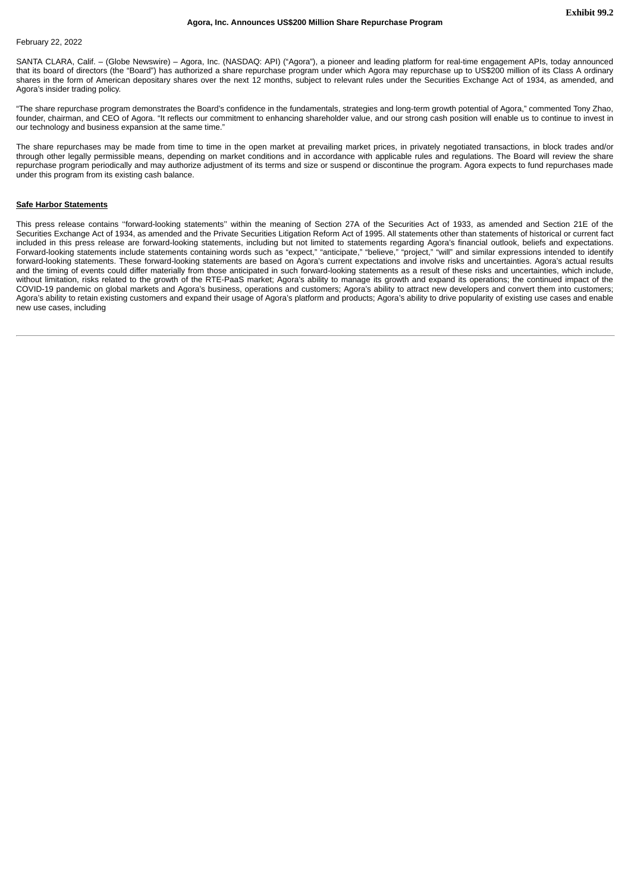# <span id="page-18-0"></span>February 22, 2022

SANTA CLARA, Calif. – (Globe Newswire) – Agora, Inc. (NASDAQ: API) ("Agora"), a pioneer and leading platform for real-time engagement APIs, today announced that its board of directors (the "Board") has authorized a share repurchase program under which Agora may repurchase up to US\$200 million of its Class A ordinary shares in the form of American depositary shares over the next 12 months, subject to relevant rules under the Securities Exchange Act of 1934, as amended, and Agora's insider trading policy.

"The share repurchase program demonstrates the Board's confidence in the fundamentals, strategies and long-term growth potential of Agora," commented Tony Zhao, founder, chairman, and CEO of Agora. "It reflects our commitment to enhancing shareholder value, and our strong cash position will enable us to continue to invest in our technology and business expansion at the same time."

The share repurchases may be made from time to time in the open market at prevailing market prices, in privately negotiated transactions, in block trades and/or through other legally permissible means, depending on market conditions and in accordance with applicable rules and regulations. The Board will review the share repurchase program periodically and may authorize adjustment of its terms and size or suspend or discontinue the program. Agora expects to fund repurchases made under this program from its existing cash balance.

# **Safe Harbor Statements**

This press release contains "forward-looking statements" within the meaning of Section 27A of the Securities Act of 1933, as amended and Section 21E of the Securities Exchange Act of 1934, as amended and the Private Securities Litigation Reform Act of 1995. All statements other than statements of historical or current fact included in this press release are forward-looking statements, including but not limited to statements regarding Agora's financial outlook, beliefs and expectations. Forward-looking statements include statements containing words such as "expect," "anticipate," "believe," "project," "will" and similar expressions intended to identify forward-looking statements. These forward-looking statements are based on Agora's current expectations and involve risks and uncertainties. Agora's actual results and the timing of events could differ materially from those anticipated in such forward-looking statements as a result of these risks and uncertainties, which include, without limitation, risks related to the growth of the RTE-PaaS market; Agora's ability to manage its growth and expand its operations; the continued impact of the COVID-19 pandemic on global markets and Agora's business, operations and customers; Agora's ability to attract new developers and convert them into customers; Agora's ability to retain existing customers and expand their usage of Agora's platform and products; Agora's ability to drive popularity of existing use cases and enable new use cases, including